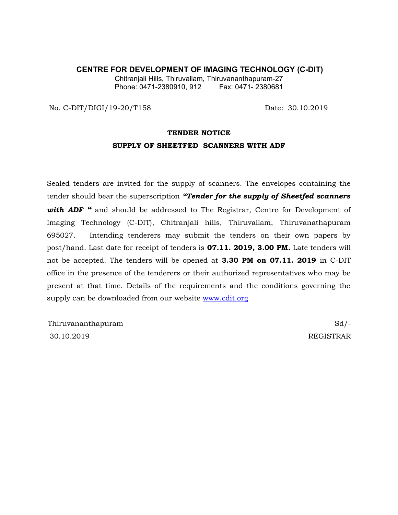#### **CENTRE FOR DEVELOPMENT OF IMAGING TECHNOLOGY (C-DIT)**

Chitranjali Hills, Thiruvallam, Thiruvananthapuram-27 Phone: 0471-2380910, 912 Fax: 0471- 2380681

No. C-DIT/DIGI/19-20/T158 Date: 30.10.2019

# **TENDER NOTICE SUPPLY OF SHEETFED SCANNERS WITH ADF**

Sealed tenders are invited for the supply of scanners. The envelopes containing the tender should bear the superscription *"Tender for the supply of Sheetfed scanners with ADF* <sup>*"*</sup> and should be addressed to The Registrar, Centre for Development of Imaging Technology (C-DIT), Chitranjali hills, Thiruvallam, Thiruvanathapuram 695027. Intending tenderers may submit the tenders on their own papers by post/hand. Last date for receipt of tenders is **07.11. 2019, 3.00 PM.** Late tenders will not be accepted. The tenders will be opened at **3.30 PM on 07.11. 2019** in C-DIT office in the presence of the tenderers or their authorized representatives who may be present at that time. Details of the requirements and the conditions governing the supply can be downloaded from our website [www.cdit.org](http://www.cdit.org/)

Thiruvananthapuram Sd/-30.10.2019 REGISTRAR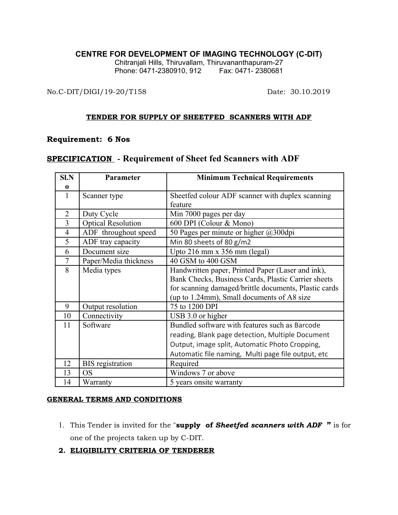### **CENTRE FOR DEVELOPMENT OF IMAGING TECHNOLOGY (C-DIT)**

Chitranjali Hills, Thiruvallam, Thiruvananthapuram-27 Phone: 0471-2380910, 912 Fax: 0471- 2380681

No.C-DIT/DIGI/19-20/T158 Date: 30.10.2019

#### **TENDER FOR SUPPLY OF SHEETFED SCANNERS WITH ADF**

### **Requirement: 6 Nos**

# **SPECIFICATION - Requirement of Sheet fed Scanners with ADF**

| $S1$ . $N$     | Parameter                 | <b>Minimum Technical Requirements</b>                 |  |  |  |
|----------------|---------------------------|-------------------------------------------------------|--|--|--|
| $\bf{0}$       |                           |                                                       |  |  |  |
| 1              | Scanner type              | Sheetfed colour ADF scanner with duplex scanning      |  |  |  |
|                |                           | feature                                               |  |  |  |
| $\overline{2}$ | Duty Cycle                | Min 7000 pages per day                                |  |  |  |
| $\overline{3}$ | <b>Optical Resolution</b> | 600 DPI (Colour & Mono)                               |  |  |  |
| $\overline{4}$ | ADF throughout speed      | 50 Pages per minute or higher @300dpi                 |  |  |  |
| 5              | ADF tray capacity         | Min 80 sheets of 80 g/m2                              |  |  |  |
| 6              | Document size             | Upto $216$ mm x $356$ mm (legal)                      |  |  |  |
| 7              | Paper/Media thickness     | 40 GSM to 400 GSM                                     |  |  |  |
| 8              | Media types               | Handwritten paper, Printed Paper (Laser and ink),     |  |  |  |
|                |                           | Bank Checks, Business Cards, Plastic Carrier sheets   |  |  |  |
|                |                           | for scanning damaged/brittle documents, Plastic cards |  |  |  |
|                |                           | (up to 1.24mm), Small documents of A8 size            |  |  |  |
| 9              | Output resolution         | 75 to 1200 DPI                                        |  |  |  |
| 10             | Connectivity              | USB 3.0 or higher                                     |  |  |  |
| 11             | Software                  | Bundled software with features such as Barcode        |  |  |  |
|                |                           | reading, Blank page detection, Multiple Document      |  |  |  |
|                |                           | Output, image split, Automatic Photo Cropping,        |  |  |  |
|                |                           | Automatic file naming, Multi page file output, etc    |  |  |  |
| 12             | <b>BIS</b> registration   | Required                                              |  |  |  |
| 13             | <b>OS</b>                 | Windows 7 or above                                    |  |  |  |
| 14             | Warranty                  | 5 years onsite warranty                               |  |  |  |

### **GENERAL TERMS AND CONDITIONS**

- 1. This Tender is invited for the "**supply of** *Sheetfed scanners with ADF* **"** is for one of the projects taken up by C-DIT.
- **2. ELIGIBILITY CRITERIA OF TENDERER**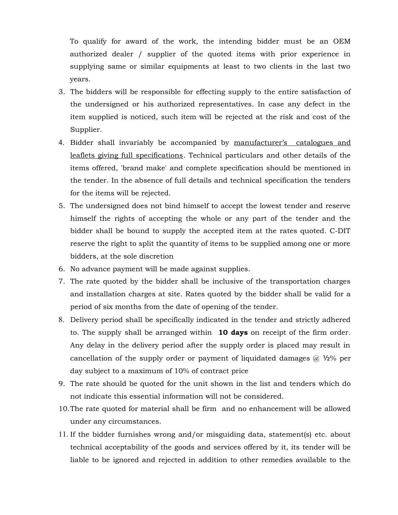To qualify for award of the work, the intending bidder must be an OEM authorized dealer / supplier of the quoted items with prior experience in supplying same or similar equipments at least to two clients in the last two years.

- 3. The bidders will be responsible for effecting supply to the entire satisfaction of the undersigned or his authorized representatives. In case any defect in the item supplied is noticed, such item will be rejected at the risk and cost of the Supplier.
- 4. Bidder shall invariably be accompanied by manufacturer's catalogues and leaflets giving full specifications. Technical particulars and other details of the items offered, 'brand make' and complete specification should be mentioned in the tender. In the absence of full details and technical specification the tenders for the items will be rejected.
- 5. The undersigned does not bind himself to accept the lowest tender and reserve himself the rights of accepting the whole or any part of the tender and the bidder shall be bound to supply the accepted item at the rates quoted. C-DIT reserve the right to split the quantity of items to be supplied among one or more bidders, at the sole discretion
- 6. No advance payment will be made against supplies.
- 7. The rate quoted by the bidder shall be inclusive of the transportation charges and installation charges at site. Rates quoted by the bidder shall be valid for a period of six months from the date of opening of the tender.
- 8. Delivery period shall be specifically indicated in the tender and strictly adhered to. The supply shall be arranged within **10 days** on receipt of the firm order. Any delay in the delivery period after the supply order is placed may result in cancellation of the supply order or payment of liquidated damages  $\omega$  1/2% per day subject to a maximum of 10% of contract price
- 9. The rate should be quoted for the unit shown in the list and tenders which do not indicate this essential information will not be considered.
- 10.The rate quoted for material shall be firm and no enhancement will be allowed under any circumstances.
- 11. If the bidder furnishes wrong and/or misguiding data, statement(s) etc. about technical acceptability of the goods and services offered by it, its tender will be liable to be ignored and rejected in addition to other remedies available to the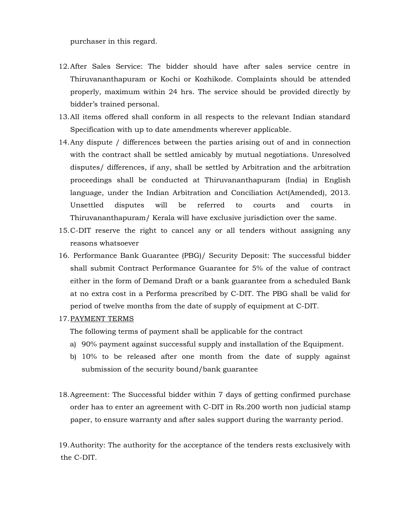purchaser in this regard.

- 12.After Sales Service: The bidder should have after sales service centre in Thiruvananthapuram or Kochi or Kozhikode. Complaints should be attended properly, maximum within 24 hrs. The service should be provided directly by bidder's trained personal.
- 13.All items offered shall conform in all respects to the relevant Indian standard Specification with up to date amendments wherever applicable.
- 14.Any dispute / differences between the parties arising out of and in connection with the contract shall be settled amicably by mutual negotiations. Unresolved disputes/ differences, if any, shall be settled by Arbitration and the arbitration proceedings shall be conducted at Thiruvananthapuram (India) in English language, under the Indian Arbitration and Conciliation Act(Amended), 2013. Unsettled disputes will be referred to courts and courts in Thiruvananthapuram/ Kerala will have exclusive jurisdiction over the same.
- 15.C-DIT reserve the right to cancel any or all tenders without assigning any reasons whatsoever
- 16. Performance Bank Guarantee (PBG)/ Security Deposit: The successful bidder shall submit Contract Performance Guarantee for 5% of the value of contract either in the form of Demand Draft or a bank guarantee from a scheduled Bank at no extra cost in a Performa prescribed by C-DIT. The PBG shall be valid for period of twelve months from the date of supply of equipment at C-DIT.
- 17.PAYMENT TERMS

The following terms of payment shall be applicable for the contract

- a) 90% payment against successful supply and installation of the Equipment.
- b) 10% to be released after one month from the date of supply against submission of the security bound/bank guarantee
- 18.Agreement: The Successful bidder within 7 days of getting confirmed purchase order has to enter an agreement with C-DIT in Rs.200 worth non judicial stamp paper, to ensure warranty and after sales support during the warranty period.

19.Authority: The authority for the acceptance of the tenders rests exclusively with the C-DIT.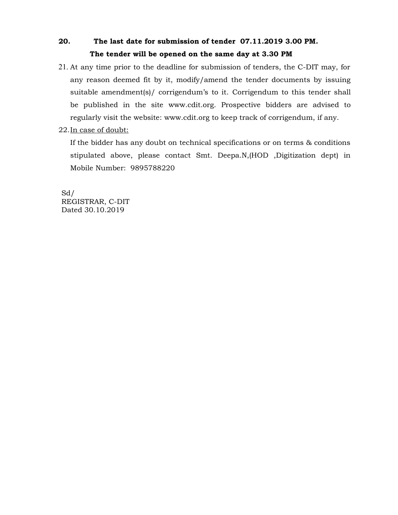# **20. The last date for submission of tender 07.11.2019 3.00 PM. The tender will be opened on the same day at 3.30 PM**

- 21. At any time prior to the deadline for submission of tenders, the C-DIT may, for any reason deemed fit by it, modify/amend the tender documents by issuing suitable amendment(s)/ corrigendum's to it. Corrigendum to this tender shall be published in the site www.cdit.org. Prospective bidders are advised to regularly visit the website: www.cdit.org to keep track of corrigendum, if any.
- 22.In case of doubt:

If the bidder has any doubt on technical specifications or on terms & conditions stipulated above, please contact Smt. Deepa.N,(HOD ,Digitization dept) in Mobile Number: 9895788220

Sd/ REGISTRAR, C-DIT Dated 30.10.2019